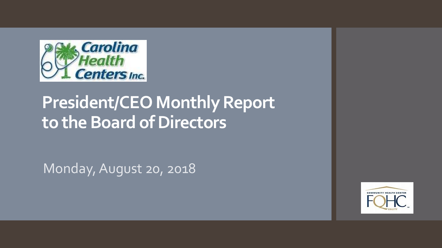

# **President/CEO Monthly Report to the Board of Directors**

Monday, August 20, 2018

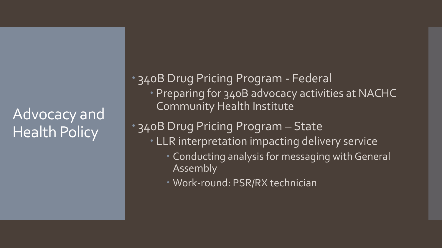## Advocacy and Health Policy

 340B Drug Pricing Program - Federal Preparing for 340B advocacy activities at NACHC Community Health Institute

340B Drug Pricing Program – State

- LLR interpretation impacting delivery service
	- Conducting analysis for messaging with General Assembly
	- Work-round: PSR/RX technician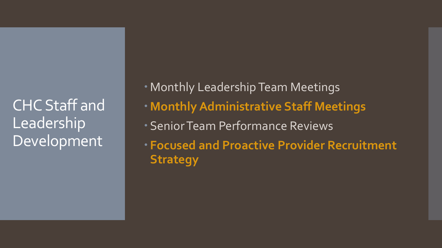CHC Staff and Leadership Development

- Monthly Leadership Team Meetings
- **Monthly Administrative Staff Meetings**
- Senior Team Performance Reviews
- **Focused and Proactive Provider Recruitment Strategy**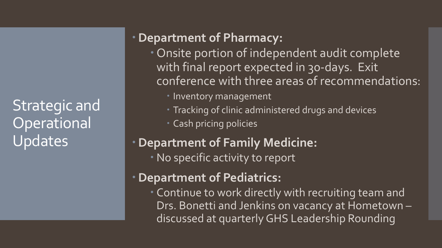Strategic and **Operational** Updates

### **Department of Pharmacy:**

- Onsite portion of independent audit complete with final report expected in 30-days. Exit conference with three areas of recommendations:
	- **Inventory management**
	- Tracking of clinic administered drugs and devices
	- Cash pricing policies

### **Department of Family Medicine:**

No specific activity to report

### **Department of Pediatrics:**

 Continue to work directly with recruiting team and Drs. Bonetti and Jenkins on vacancy at Hometown – discussed at quarterly GHS Leadership Rounding